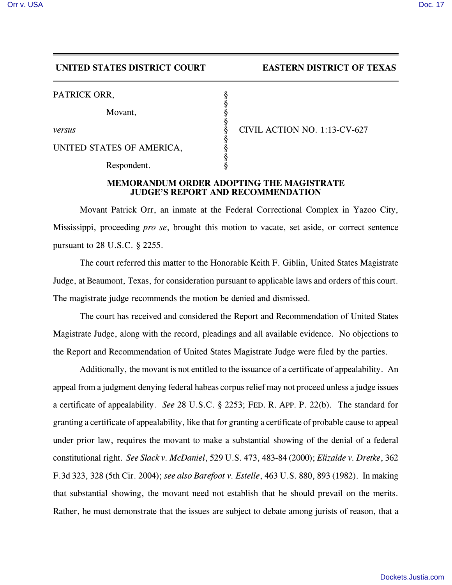## **UNITED STATES DISTRICT COURT EASTERN DISTRICT OF TEXAS**

PATRICK ORR.

Movant,

UNITED STATES OF AMERICA,

Respondent.

*versus* § CIVIL ACTION NO. 1:13-CV-627

## **MEMORANDUM ORDER ADOPTING THE MAGISTRATE JUDGE'S REPORT AND RECOMMENDATION**

§

§

§

§

Movant Patrick Orr, an inmate at the Federal Correctional Complex in Yazoo City, Mississippi, proceeding *pro se*, brought this motion to vacate, set aside, or correct sentence pursuant to 28 U.S.C. § 2255.

The court referred this matter to the Honorable Keith F. Giblin, United States Magistrate Judge, at Beaumont, Texas, for consideration pursuant to applicable laws and orders of this court. The magistrate judge recommends the motion be denied and dismissed.

The court has received and considered the Report and Recommendation of United States Magistrate Judge, along with the record, pleadings and all available evidence. No objections to the Report and Recommendation of United States Magistrate Judge were filed by the parties.

Additionally, the movant is not entitled to the issuance of a certificate of appealability. An appeal from a judgment denying federal habeas corpus relief may not proceed unless a judge issues a certificate of appealability. *See* 28 U.S.C. § 2253; FED. R. APP. P. 22(b). The standard for granting a certificate of appealability, like that for granting a certificate of probable cause to appeal under prior law, requires the movant to make a substantial showing of the denial of a federal constitutional right. *See Slack v. McDaniel*, 529 U.S. 473, 483-84 (2000); *Elizalde v. Dretke*, 362 F.3d 323, 328 (5th Cir. 2004); *see also Barefoot v. Estelle*, 463 U.S. 880, 893 (1982). In making that substantial showing, the movant need not establish that he should prevail on the merits. Rather, he must demonstrate that the issues are subject to debate among jurists of reason, that a